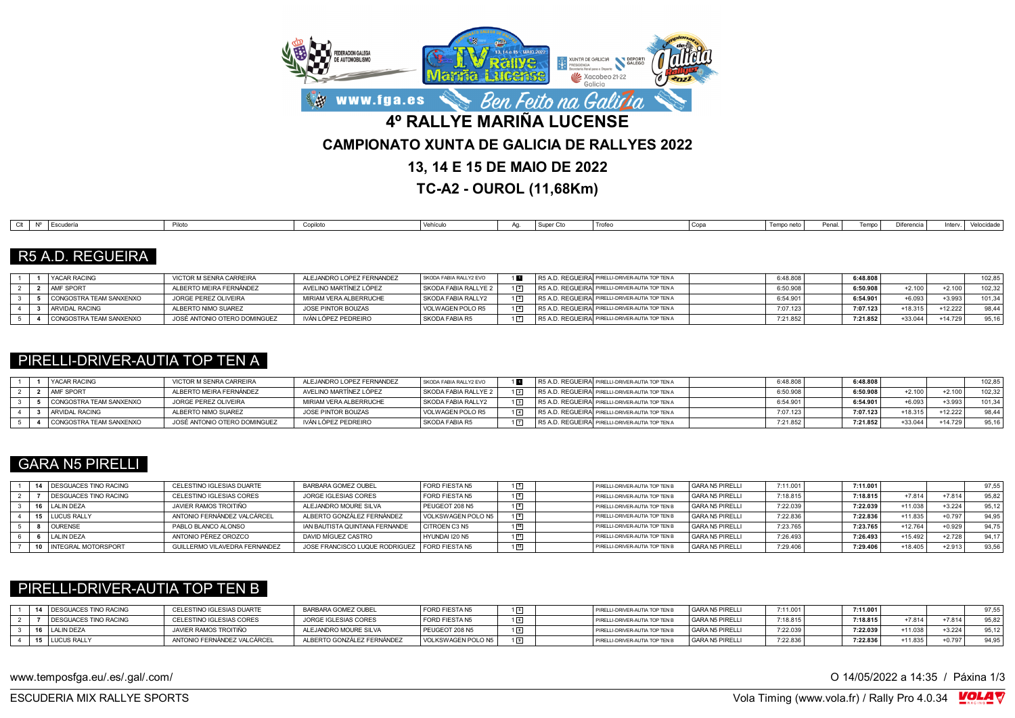

**TC-A2 - OUROL (11,68Km)**

| ∩"H | l Escuderí<br>------- | .<br>۱۱٬۱ | Copilotu | $\mathcal{L}$ $\mathcal{L}$ $\mathcal{L}$ $\mathcal{L}$ $\mathcal{L}$ $\mathcal{L}$ $\mathcal{L}$ $\mathcal{L}$ $\mathcal{L}$ $\mathcal{L}$ $\mathcal{L}$ $\mathcal{L}$ $\mathcal{L}$ $\mathcal{L}$ $\mathcal{L}$ $\mathcal{L}$ $\mathcal{L}$ $\mathcal{L}$ $\mathcal{L}$ $\mathcal{L}$ $\mathcal{L}$ $\mathcal{L}$ $\mathcal{L}$ $\mathcal{L}$ $\mathcal{$<br>I VEI II CUIC | $\sim$<br>I Super | <sup>1</sup> Trofec | Copa | Tempo neto | Danal<br>Pena. | Tempo | Diferencia | inter | Velocidade |
|-----|-----------------------|-----------|----------|------------------------------------------------------------------------------------------------------------------------------------------------------------------------------------------------------------------------------------------------------------------------------------------------------------------------------------------------------------------------------|-------------------|---------------------|------|------------|----------------|-------|------------|-------|------------|
|     |                       |           |          |                                                                                                                                                                                                                                                                                                                                                                              |                   |                     |      |            |                |       |            |       |            |

### R5 A.D. REGUEIRA

|  | YACAR RACING            | VICTOR M SENRA CARREIRA      | ALEJANDRO LOPEZ FERNANDEZ | SKODA FABIA RALLY2 EVO      |  | R5 A.D. REGUEIRA PIRELLI-DRIVER-AUTIA TOP TEN A  | 6:48.80  | 6:48.808 |           |           | 102.85 |
|--|-------------------------|------------------------------|---------------------------|-----------------------------|--|--------------------------------------------------|----------|----------|-----------|-----------|--------|
|  | <b>AMF SPORT</b>        | ALBERTO MEIRA FERNÁNDEZ      | AVELINO MARTÍNEZ LÓPEZ    | <b>SKODA FABIA RALLYE 2</b> |  | R5 A.D. REGUEIRA PIRELLI-DRIVER-AUTIA TOP TEN A  | 6:50.908 | 6:50.908 | $+2.100$  | $+2.100$  | 102.32 |
|  | CONGOSTRA TEAM SANXENXO | JORGE PEREZ OLIVEIRA         | MIRIAM VERA ALBERRUCHE    | SKODA FABIA RALLY2          |  | R5 A.D. REGUEIRAÍ PIRELLI-DRIVER-AUTIA TOP TEN A | 3:54.90  | 6:54.901 | $+6.093$  | $+3.993$  | 101.34 |
|  | ARVIDAL RACING          | ALBERTO NIMO SUAREZ          | JOSE PINTOR BOUZAS        | VOLWAGEN POLO R5            |  | R5 A.D. REGUEIRAI PIRELLI-DRIVER-AUTIA TOP TEN A | 7:07.123 | 7:07.123 | +18.315   | $+12.222$ | 98.44  |
|  | CONGOSTRA TEAM SANXENXO | JOSÉ ANTONIO OTERO DOMINGUEZ | IVÁN LÓPEZ PEDREIRO       | SKODA FABIA R5              |  | R5 A.D. REGUEIRA PIRELLI-DRIVER-AUTIA TOP TEN A  | 7:21.852 | 7:21.852 | $+33.044$ | +14.729   | 95,16  |

### PIRELLI-DRIVER-AUTIA TOP TEN A

|  | <b>YACAR RACING</b>     | VICTOR M SENRA CARREIRA      | ALEJANDRO LOPEZ FERNANDEZ | SKODA FABIA RALLY2 EVO |             | R5 A.D. REGUEIRA PIRELLI-DRIVER-AUTIA TOP TEN A | 6:48.808 | 6:48.808 |           |          | 102.85 |
|--|-------------------------|------------------------------|---------------------------|------------------------|-------------|-------------------------------------------------|----------|----------|-----------|----------|--------|
|  | <b>AMF SPORT</b>        | ALBERTO MEIRA FERNÁNDEZ      | AVELINO MARTÍNEZ LÓPEZ    | SKODA FABIA RALLYE 2   | $1\sqrt{2}$ | R5 A.D. REGUEIRA PIRELLI-DRIVER-AUTIA TOP TEN A | 6:50.908 | 6:50.908 | $+2.100$  | $+2.100$ | 102.32 |
|  | CONGOSTRA TEAM SANXENXO | JORGE PEREZ OLIVEIRA         | MIRIAM VERA ALBERRUCHE    | SKODA FABIA RALLY2     | $1\sqrt{3}$ | R5 A.D. REGUEIRA PIRELLI-DRIVER-AUTIA TOP TEN A | 6:54.90  | 6:54.90  | $+6.093$  | $+3.993$ | 101.34 |
|  | ARVIDAL RACING          | ALBERTO NIMO SUAREZ          | JOSE PINTOR BOUZAS        | VOLWAGEN POLO R5       | $1\sqrt{4}$ | R5 A.D. REGUEIRA PIRELLI-DRIVER-AUTIA TOP TEN A | 7:07.123 | 7:07.123 | $+18.315$ | +12.222  |        |
|  | CONGOSTRA TEAM SANXENXO | JOSÉ ANTONIO OTERO DOMINGUEZ | IVÁN LÓPEZ PEDREIRO       | l SKODA FABIA R5       |             | R5 A.D. REGUEIRA PIRELLI-DRIVER-AUTIA TOP TEN A | 7:21.852 | 7:21.852 | +33.044   | +14.729  | 95.16  |

## GARA N5 PIRELLI

|  | <b>I DESGUACES TINO RACING</b> | CELESTINO IGLESIAS DUARTE     | BARBARA GOMEZ OUBEL                             | <b>FORD FIESTA N5</b> |              | PIRELLI-DRIVER-AUTIA TOP TEN B | GARA N5 PIRELLI | 7:11.001 | 7:11.001 |           |          | 97,55 |
|--|--------------------------------|-------------------------------|-------------------------------------------------|-----------------------|--------------|--------------------------------|-----------------|----------|----------|-----------|----------|-------|
|  | DESGUACES TINO RACING          | CELESTINO IGLESIAS CORES      | JORGE IGLESIAS CORES                            | <b>FORD FIESTA N5</b> |              | PIRELLI-DRIVER-AUTIA TOP TEN B | GARA N5 PIRELLI | 7:18.815 | 7:18.815 | $+7.814$  | $+7.814$ | 95.82 |
|  | LALIN DEZA                     | JAVIER RAMOS TROITIÑO         | ALEJANDRO MOURE SILVA                           | PEUGEOT 208 N5        |              | PIRELLI-DRIVER-AUTIA TOP TEN B | GARA N5 PIRELLI | 7:22.039 | 7:22.039 | $+11.038$ | $+3.224$ | 95.12 |
|  | <b>LUCUS RALLY</b>             | ANTONIO FERNÁNDEZ VALCÁRCEL   | ALBERTO GONZÁLEZ FERNÁNDEZ                      | VOLKSWAGEN POLO N5    |              | PIRELLI-DRIVER-AUTIA TOP TEN B | GARA N5 PIRELLI | 7:22.836 | 7:22.836 | $+11.835$ | $+0.797$ | 94.95 |
|  | <b>OURENSE</b>                 | PABLO BLANCO ALONSO           | IAN BAUTISTA QUINTANA FERNANDE                  | CITROEN C3 N5         | $\boxed{10}$ | PIRELLI-DRIVER-AUTIA TOP TEN B | GARA N5 PIRELLI | 7:23.765 | 7:23.765 | +12.764   | $+0.929$ | 94.75 |
|  | LALIN DEZA                     | ANTONIO PÉREZ OROZCO          | DAVID MÍGUEZ CASTRO                             | HYUNDAI I20 N5        | $\sqrt{11}$  | PIRELLI-DRIVER-AUTIA TOP TEN B | GARA N5 PIRELLI | 7:26.493 | 7:26.493 | $+15.492$ | $+2.728$ | Q4 17 |
|  | <b>INTEGRAL MOTORSPORT</b>     | GUILLERMO VILAVEDRA FERNANDEZ | JOSE FRANCISCO LUQUE RODRIGUEZ   FORD FIESTA N5 |                       |              | PIRELLI-DRIVER-AUTIA TOP TEN B | GARA N5 PIRELLI | 7:29.406 | 7:29.406 | $+18.405$ | $+2.913$ | 93,56 |

### PIRELLI-DRIVER-AUTIA TOP TEN B

|  | <b>DESGUACES TINO RACING</b> | CELESTINO IGLESIAS DUARTE   | <b>BARBARA GOMEZ OUBEL</b> | FORD FIESTA N5     |  | PIRELLI-DRIVER-AUTIA TOP TEN B | GARA N5 PIRELLI | 7:11.00  | 7:11.001 |          |          | 97.55 |
|--|------------------------------|-----------------------------|----------------------------|--------------------|--|--------------------------------|-----------------|----------|----------|----------|----------|-------|
|  | DESGUACES TINO RACING        | CELESTINO IGLESIAS CORES    | JORGE IGLESIAS CORES       | FORD FIESTA N5     |  | PIRELLI-DRIVER-AUTIA TOP TEN B | GARA N5 PIRELLI | 7:18.815 | 7:18.815 | $+7.814$ | $+7.814$ | 95,82 |
|  | <b>LALIN DEZA</b>            | JAVIER RAMOS TROITIÑO       | ALEJANDRO MOURE SILVA      | PEUGEOT 208 N5     |  | PIRELLI-DRIVER-AUTIA TOP TEN B | GARA N5 PIRELLI | 7:22.039 | 7:22.039 | +11.038  | $+3.224$ | 95.12 |
|  | <b>LUCUS RALLY</b>           | ANTONIO FERNÁNDEZ VALCÁRCEL | ALBERTO GONZÁLEZ FERNÁNDEZ | VOLKSWAGEN POLO N5 |  | PIRELLI-DRIVER-AUTIA TOP TEN B | GARA N5 PIRELLI | 7:22.83  | 7:22.836 | +11.835  | +0.797   | 94.95 |

www.temposfga.eu/.es/.gal/.com/ **O 14/05/2022** a 14:35 / Páxina 1/3

VolaSoftControlPdf ESCUDERIA MIX RALLYE SPORTS Vola Timing (www.vola.fr) / Rally Pro 4.0.34

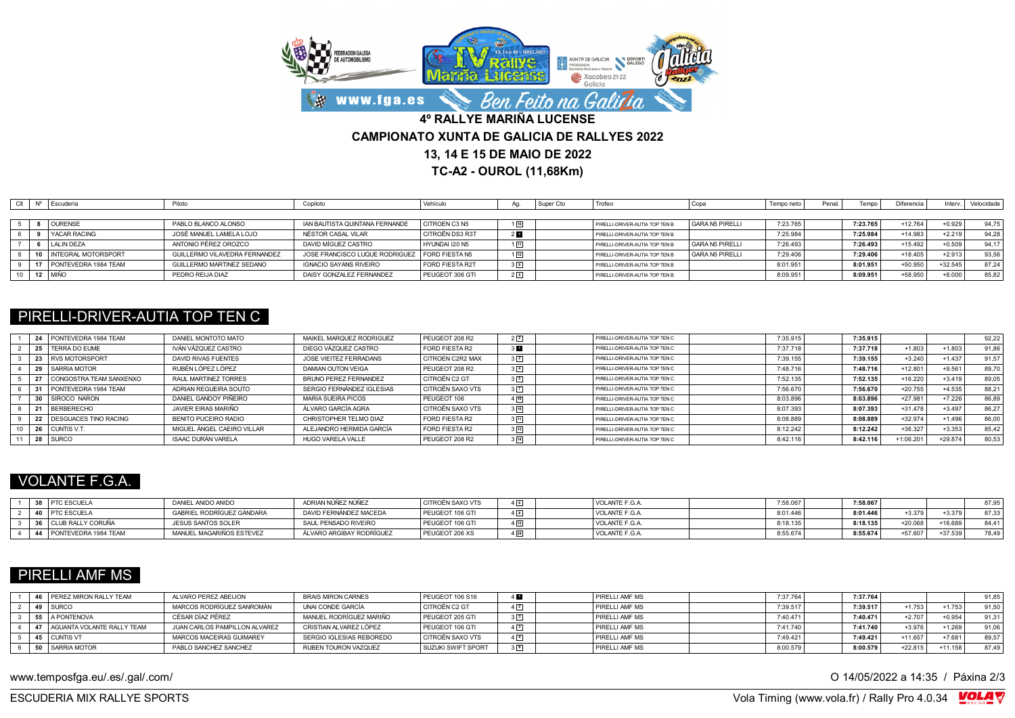

**TC-A2 - OUROL (11,68Km)**

| Clt | Nº Escudería            | Piloto                        | Copiloto                       | Vehículo        |                | I Super Cto | Trofeo                         |                 | Tempo neto | Penal | Tempo    | Diferencia | Interv.   | Velocidade |
|-----|-------------------------|-------------------------------|--------------------------------|-----------------|----------------|-------------|--------------------------------|-----------------|------------|-------|----------|------------|-----------|------------|
|     |                         |                               |                                |                 |                |             |                                |                 |            |       |          |            |           |            |
|     | <b>OURENSE</b>          | PABLO BLANCO ALONSO           | IAN BAUTISTA QUINTANA FERNANDE | CITROEN C3 N5   | $1\sqrt{10}$   |             | PIRELLI-DRIVER-AUTIA TOP TEN B | GARA N5 PIRELLI | 7:23.765   |       | 7:23.765 | $+12.764$  | $+0.929$  | 94.75      |
|     | <b>YACAR RACING</b>     | JOSÉ MANUEL LAMELA LOJO       | NÉSTOR CASAL VILAR             | CITROËN DS3 R3T | 2 <sub>u</sub> |             | PIRELLI-DRIVER-AUTIA TOP TEN B |                 | 7:25.984   |       | 7:25.984 | $+14.983$  | $+2.219$  | 94.28      |
|     | LALIN DEZA              | ANTONIO PÉREZ OROZCO          | DAVID MÍGUEZ CASTRO            | HYUNDAI I20 N5  | 団              |             | PIRELLI-DRIVER-AUTIA TOP TEN B | GARA N5 PIRELLI | 7:26.493   |       | 7:26.493 | $+15.492$  | $+0.509$  | 94.17      |
|     | 10 INTEGRAL MOTORSPORT  | GUILLERMO VILAVEDRA FERNANDEZ | JOSE FRANCISCO LUQUE RODRIGUEZ | FORD FIESTA N5  | $1\sqrt{12}$   |             | PIRELLI-DRIVER-AUTIA TOP TEN B | GARA N5 PIRELLI | 7:29.406   |       | 7:29.406 | $+18.405$  | $+2.913$  | 93,56      |
|     | 17 PONTEVEDRA 1984 TEAM | GUILLERMO MARTINEZ SEDANO     | <b>IGNACIO SAYANS RIVEIRO</b>  | FORD FIESTA R2T | 3 <sup>9</sup> |             | PIRELLI-DRIVER-AUTIA TOP TEN B |                 | 8:01.951   |       | 8:01.951 | $+50.950$  | $+32.545$ | 87.24      |
|     | 12 MIÑO                 | PEDRO REIJA DIAZ              | DAISY GONZALEZ FERNANDEZ       | PEUGEOT 306 GTI | 25             |             | PIRELLI-DRIVER-AUTIA TOP TEN B |                 | 8:09.951   |       | 8:09.951 | +58.950    | $+8.000$  | 85,82      |

### PIRELLI-DRIVER-AUTIA TOP TEN C

|    | 24 PONTEVEDRA 1984 TEAM  | DANIEL MONTOTO MATO         | MAIKEL MARQUEZ RODRIGUEZ  | PEUGEOT 208 R2          | $2\sqrt{2}$    | PIRELLI-DRIVER-AUTIA TOP TEN C | 7:35.915 | 7:35.915 |           |           | 92,22 |
|----|--------------------------|-----------------------------|---------------------------|-------------------------|----------------|--------------------------------|----------|----------|-----------|-----------|-------|
|    | 25   TERRA DO EUME       | IVÁN VÁZQUEZ CASTRO         | DIEGO VÁZQUEZ CASTRO      | FORD FIESTA R2          | 3 H            | PIRELLI-DRIVER-AUTIA TOP TEN C | 7:37.718 | 7:37.718 | $+1.803$  | $+1.803$  | 91.86 |
|    | 23 RVS MOTORSPORT        | DAVID RIVAS FUENTES         | JOSE VIEITEZ FERRADANS    | <b>CITROEN C2R2 MAX</b> | $3\sqrt{2}$    | PIRELLI-DRIVER-AUTIA TOP TEN C | 7:39.155 | 7:39.155 | $+3.240$  | $+1.437$  | 91.57 |
|    | 29 SARRIA MOTOR          | RUBÉN LÓPEZ LÓPEZ           | DAMIAN OUTON VEIGA        | PEUGEOT 208 R2          | $3\sqrt{4}$    | PIRELLI-DRIVER-AUTIA TOP TEN C | 7:48.716 | 7:48.716 | $+12.801$ | $+9.56$   | 89,70 |
|    | CONGOSTRA TEAM SANXENXO  | RAUL MARTINEZ TORRES        | BRUNO PEREZ FERNANDEZ     | CITROËN C2 GT           | 35             | PIRELLI-DRIVER-AUTIA TOP TEN C | 7:52.135 | 7:52.135 | $+16.220$ | $+3.419$  | 89,05 |
|    | PONTEVEDRA 1984 TEAM     | ADRIAN REGUEIRA SOUTO       | SERGIO FERNÁNDEZ IGLESIAS | CITROËN SAXO VTS        | 3 <sup>7</sup> | PIRELLI-DRIVER-AUTIA TOP TEN C | 7:56.670 | 7:56.670 | $+20.755$ | $+4.535$  | 88.21 |
|    | 30 SIROCO NARON          | DANIEL GANDOY PIÑEIRO       | <b>MARIA SUEIRA PICOS</b> | PEUGEOT 106             | 10             | PIRELLI-DRIVER-AUTIA TOP TEN C | 8:03.896 | 8:03.896 | $+27.981$ | $+7.226$  | 86,89 |
|    | BERBERECHO               | JAVIER FIRAS MARIÑO         | ÁLVARO GARCÍA AGRA        | CITROËN SAXO VTS        | $3\sqrt{10}$   | PIRELLI-DRIVER-AUTIA TOP TEN C | 8:07.393 | 8:07.393 | $+31.478$ | $+3.497$  | 86,27 |
|    | 22 DESGUACES TINO RACING | <b>BENITO PUCEIRO RADIO</b> | CHRISTOPHER TELMO DIAZ    | FORD FIESTA R2          | 3 11           | PIRELLI-DRIVER-AUTIA TOP TEN C | 8:08.889 | 8:08.889 | $+32.974$ | $+1.496$  | 86,00 |
|    | CUNTIS V.T.              | MIGUEL ÁNGEL CAEIRO VILLAR  | ALEJANDRO HERMIDA GARCÍA  | FORD FIESTA R2          | $3\sqrt{12}$   | PIRELLI-DRIVER-AUTIA TOP TEN C | 8:12.242 | 8:12.242 | $+36.327$ | $+3.353$  | 85,42 |
| 28 | <b>SURCO</b>             | <b>ISAAC DURÁN VARELA</b>   | HUGO VARFLA VALLE         | PEUGEOT 208 R2          | $3\sqrt{14}$   | PIRELLI-DRIVER-AUTIA TOP TEN C | 8:42.116 | 8:42.116 | +1:06.201 | $+29.874$ | 80,53 |

# VOLANTE F.G.A.

|  | <b>PTC ESCUELA</b>     | DANIEL ANIDO ANIDO        | ADRIAN NÚÑEZ NÚÑEZ       | CITROËN SAXO VTS | 4   6 | <b>VOLANTE F.G.A.</b> | 7:58.06. | 7:58.067 |           |          | 87.95 |
|--|------------------------|---------------------------|--------------------------|------------------|-------|-----------------------|----------|----------|-----------|----------|-------|
|  | <b>PTC ESCUELA</b>     | GABRIEL RODRÍGUEZ GÀNDARA | DAVID FERNÁNDEZ MACEDA   | PEUGEOT 106 GTI  |       | <b>VOLANTE F.G.A.</b> | 8:01.446 | 8:01.446 | $+3.379$  | $+3.379$ | 97.33 |
|  | 36 CLUB RALLY CORUÑA   | <b>JESUS SANTOS SOLER</b> | SAUL PENSADO RIVEIRO     | PEUGEOT 106 GTI  |       | <b>VOLANTE F.G.A.</b> | 3:18.135 | 8:18.135 | +20.068   | 16.689   |       |
|  | 4 PONTEVEDRA 1984 TEAM | MANUEL MAGARIÑOS ESTEVEZ  | ÁLVARO ARGIBAY RODRÍGUEZ | PEUGEOT 206 XS   |       | <b>VOLANTE F.G.A.</b> | 8:55.674 | 8:55.674 | $+57.607$ | +37.539  | 78.49 |

### PIRELLI AMF MS

|  | 16 PEREZ MIRON RALLY TEAM     | ALVARO PEREZ ABEIJON          | <b>BRAIS MIRON CARNES</b> | PEUGEOT 106 S16    | 4 M            | <b>PIRELLI AMF MS</b> | 7:37.764 | 7:37.764 |           |           | 91,85 |
|--|-------------------------------|-------------------------------|---------------------------|--------------------|----------------|-----------------------|----------|----------|-----------|-----------|-------|
|  | 49 SURCO                      | MARCOS RODRÍGUEZ SANROMÁN     | UNAI CONDE GARCÍA         | CITROËN C2 GT      | $4\sqrt{2}$    | <b>PIRELLI AMF MS</b> | 7:39.517 | 7:39.517 | $+1.753$  | $+1.753$  | 91.50 |
|  | 55 A PONTENOVA                | CÉSAR DÍAZ PÉREZ              | MANUEL RODRÍGUEZ MARIÑO   | PEUGEOT 205 GTI    | 3 <sup>3</sup> | <b>PIRELLI AMF MS</b> | 7:40.471 | 7:40.471 | $+2.707$  | $+0.954$  | 91.31 |
|  | 47 AGUANTA VOLANTE RALLY TEAM | JUAN CARLOS PAMPILLON ALVAREZ | CRISTIAN ALVAREZ LÓPEZ    | PEUGEOT 106 GTI    |                | <b>PIRELLI AMF MS</b> | 7:41.740 | 7:41.740 | $+3.976$  | $+1.269$  | 91.06 |
|  | 45 CUNTIS VT                  | MARCOS MACEIRAS GUIMAREY      | SERGIO IGLESIAS REBOREDO  | CITROËN SAXO VTS   | $4\sqrt{4}$    | <b>PIRELLI AMF MS</b> | 7:49.421 | 7:49.421 | $+11.657$ | $+7.681$  | 89.57 |
|  | 50 SARRIA MOTOR               | PABLO SANCHEZ SANCHEZ         | RUBEN TOURON VAZQUEZ      | SUZUKI SWIFT SPORT | 3 <sup>8</sup> | PIRELLI AMF MS        | 8:00.579 | 8:00.579 | $+22.815$ | $+11.158$ | 87.49 |

www.temposfga.eu/.es/.gal/.com/ **O 14/05/2022** a 14:35 / Páxina 2/3

VolaSoftControlPdf ESCUDERIA MIX RALLYE SPORTS Vola Timing (www.vola.fr) / Rally Pro 4.0.34